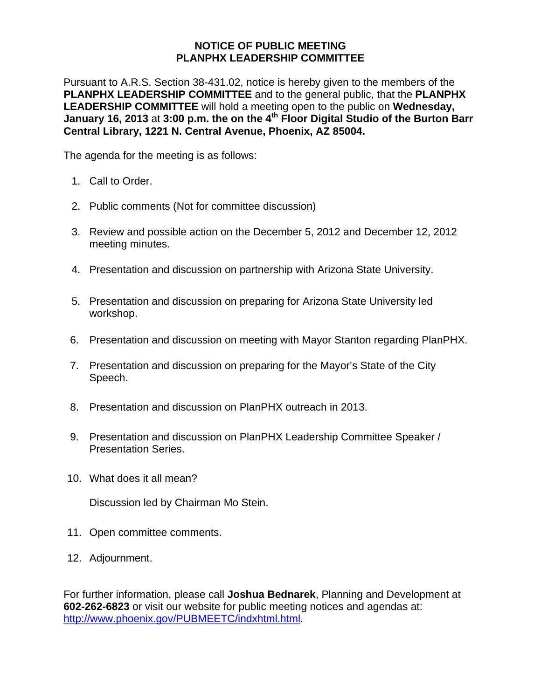## **NOTICE OF PUBLIC MEETING PLANPHX LEADERSHIP COMMITTEE**

Pursuant to A.R.S. Section 38-431.02, notice is hereby given to the members of the **PLANPHX LEADERSHIP COMMITTEE** and to the general public, that the **PLANPHX LEADERSHIP COMMITTEE** will hold a meeting open to the public on **Wednesday, January 16, 2013** at **3:00 p.m. the on the 4th Floor Digital Studio of the Burton Barr Central Library, 1221 N. Central Avenue, Phoenix, AZ 85004.** 

The agenda for the meeting is as follows:

- 1. Call to Order.
- 2. Public comments (Not for committee discussion)
- 3. Review and possible action on the December 5, 2012 and December 12, 2012 meeting minutes.
- 4. Presentation and discussion on partnership with Arizona State University.
- 5. Presentation and discussion on preparing for Arizona State University led workshop.
- 6. Presentation and discussion on meeting with Mayor Stanton regarding PlanPHX.
- 7. Presentation and discussion on preparing for the Mayor's State of the City Speech.
- 8. Presentation and discussion on PlanPHX outreach in 2013.
- 9. Presentation and discussion on PlanPHX Leadership Committee Speaker / Presentation Series.
- 10. What does it all mean?

Discussion led by Chairman Mo Stein.

- 11. Open committee comments.
- 12. Adjournment.

For further information, please call **Joshua Bednarek**, Planning and Development at **602-262-6823** or visit our website for public meeting notices and agendas at: <http://www.phoenix.gov/PUBMEETC/indxhtml.html>.